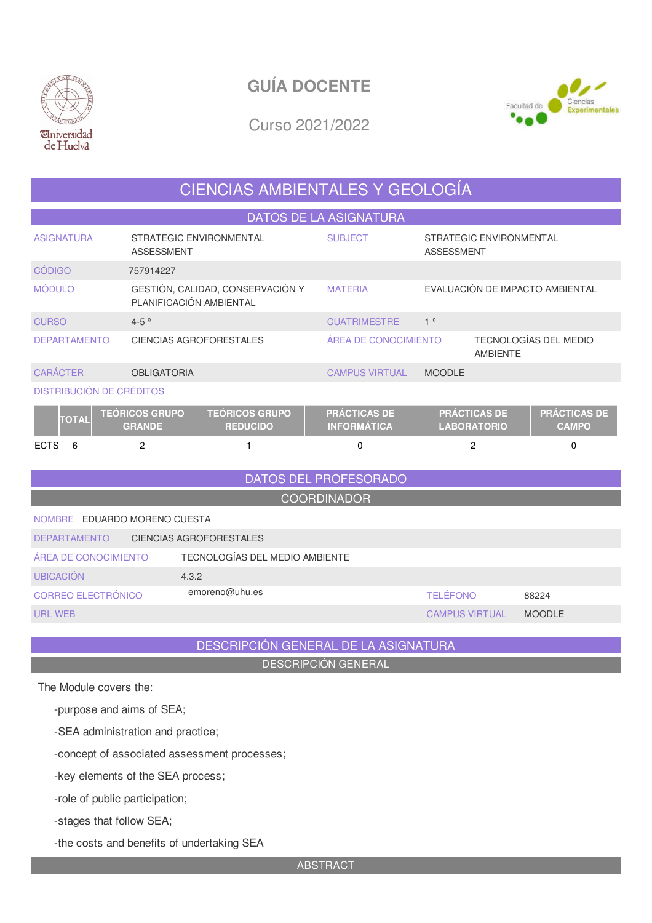



Curso 2021/2022

## CIENCIAS AMBIENTALES Y GEOLOGÍA

DATOS DE LA ASIGNATURA

| <b>ASIGNATURA</b>               | STRATEGIC ENVIRONMENTAL<br><b>ASSESSMENT</b>                                                                         | <b>SUBJECT</b>                                        | STRATEGIC ENVIRONMENTAL<br><b>ASSESSMENT</b> |                       |  |  |  |
|---------------------------------|----------------------------------------------------------------------------------------------------------------------|-------------------------------------------------------|----------------------------------------------|-----------------------|--|--|--|
| <b>CÓDIGO</b>                   | 757914227                                                                                                            |                                                       |                                              |                       |  |  |  |
| <b>MÓDULO</b>                   | GESTIÓN, CALIDAD, CONSERVACIÓN Y<br>PLANIFICACIÓN AMBIENTAL                                                          | <b>MATERIA</b>                                        | EVALUACIÓN DE IMPACTO AMBIENTAL              |                       |  |  |  |
| <b>CURSO</b>                    | $4 - 5$ <sup>o</sup>                                                                                                 | <b>CUATRIMESTRE</b>                                   | 1 <sup>°</sup>                               |                       |  |  |  |
| <b>DEPARTAMENTO</b>             | <b>CIENCIAS AGROFORESTALES</b>                                                                                       | ÁREA DE CONOCIMIENTO                                  | <b>AMBIENTE</b>                              | TECNOLOGÍAS DEL MEDIO |  |  |  |
| <b>CARÁCTER</b>                 | <b>OBLIGATORIA</b>                                                                                                   | <b>CAMPUS VIRTUAL</b>                                 | <b>MOODLE</b>                                |                       |  |  |  |
| <b>DISTRIBUCIÓN DE CRÉDITOS</b> |                                                                                                                      |                                                       |                                              |                       |  |  |  |
| <b>TOTAL</b>                    | <b>TEÓRICOS GRUPO</b><br><b>TEÓRICOS GRUPO</b><br>$\begin{array}{c} \n 0 \\ 0 \\ 0\n \end{array}$<br><b>BEBUAIRA</b> | <b>PRÁCTICAS DE</b><br>$H = \bigcap_{n=1}^{\infty} H$ | <b>PRÁCTICAS DE</b><br>1.0001700             | <b>PRÁCTICAS DE</b>   |  |  |  |

| $\overline{\mathbf{C}}$ | <b>GRANDE</b> | <b>REDUCIDO</b> | <b>INFORMÁTICA</b> | <b>LABORATORIO</b> | CAMPO |
|-------------------------|---------------|-----------------|--------------------|--------------------|-------|
| <b>ECTS</b>             |               |                 |                    |                    |       |

## DATOS DEL PROFESORADO **COORDINADOR** NOMBRE EDUARDO MORENO CUESTA DEPARTAMENTO CIENCIAS AGROFORESTALES ÁREA DE CONOCIMIENTO TECNOLOGÍAS DEL MEDIO AMBIENTE UBICACIÓN 4.3.2 CORREO ELECTRÓNICO emoreno@uhu.es TELÉFONO 88224 URL WEB CAMPUS VIRTUAL MOODLE

DESCRIPCIÓN GENERAL DE LA ASIGNATURA

DESCRIPCIÓN GENERAL

The Module covers the:

-purpose and aims of SEA;

-SEA administration and practice;

-concept of associated assessment processes;

-key elements of the SEA process;

-role of public participation;

-stages that follow SEA;

-the costs and benefits of undertaking SEA

ABSTRACT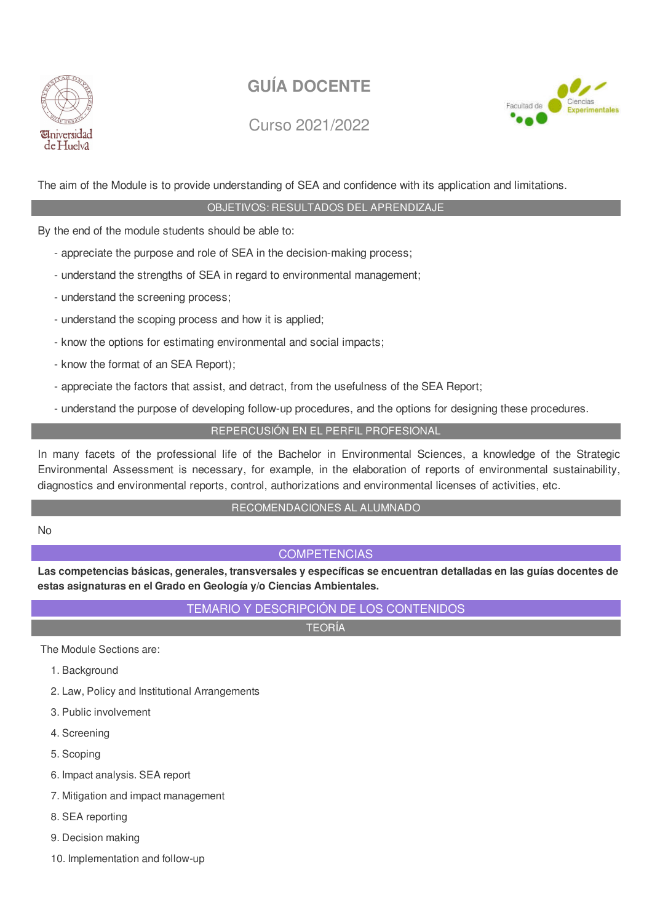

Curso 2021/2022



The aim of the Module is to provide understanding of SEA and confidence with its application and limitations.

### OBJETIVOS: RESULTADOS DEL APRENDIZAJE

By the end of the module students should be able to:

- appreciate the purpose and role of SEA in the decision-making process;
- understand the strengths of SEA in regard to environmental management;
- understand the screening process;
- understand the scoping process and how it is applied;
- know the options for estimating environmental and social impacts;
- know the format of an SEA Report);
- appreciate the factors that assist, and detract, from the usefulness of the SEA Report;
- understand the purpose of developing follow-up procedures, and the options for designing these procedures.

### REPERCUSIÓN EN EL PERFIL PROFESIONAL

In many facets of the professional life of the Bachelor in Environmental Sciences, a knowledge of the Strategic Environmental Assessment is necessary, for example, in the elaboration of reports of environmental sustainability, diagnostics and environmental reports, control, authorizations and environmental licenses of activities, etc.

#### RECOMENDACIONES AL ALUMNADO

No

### **COMPETENCIAS**

**Las competencias básicas, generales, transversales y específicas se encuentran detalladas en las guías docentes de estas asignaturas en el Grado en Geología y/o Ciencias Ambientales.**

### TEMARIO Y DESCRIPCIÓN DE LOS CONTENIDOS

TEORÍA

The Module Sections are:

- 1. Background
- 2. Law, Policy and Institutional Arrangements
- 3. Public involvement
- 4. Screening
- 5. Scoping
- 6. Impact analysis. SEA report
- 7. Mitigation and impact management
- 8. SEA reporting
- 9. Decision making
- 10. Implementation and follow-up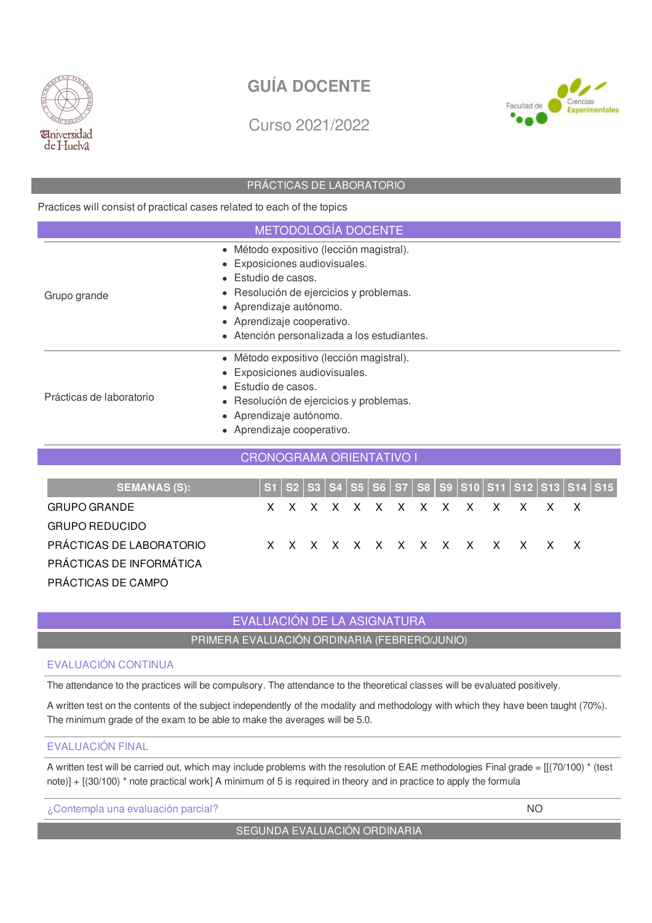

Curso 2021/2022



#### PRÁCTICAS DE LABORATORIO

Practices will consist of practical cases related to each of the topics

| <b>METODOLOGÍA DOCENTE</b>                  |
|---------------------------------------------|
| • Método expositivo (lección magistral).    |
| • Exposiciones audiovisuales.               |
| $\bullet$ Estudio de casos.                 |
| • Resolución de ejercicios y problemas.     |
| • Aprendizaje autónomo.                     |
| • Aprendizaje cooperativo.                  |
| • Atención personalizada a los estudiantes. |
| • Método expositivo (lección magistral).    |
| • Exposiciones audiovisuales.               |
| • Estudio de casos.                         |
| • Resolución de ejercicios y problemas.     |
| • Aprendizaje autónomo.                     |
| • Aprendizaje cooperativo.                  |
|                                             |

### **SEMANAS (S): S1 S2 S3 S4 S5 S6 S7 S8 S9 S10 S11 S12 S13 S14 S15** GRUPO GRANDE X X X X X X X X X X X X X X X X GRUPO REDUCIDO PRÁCTICAS DE LABORATORIO X X X X X X X X X X X X X X X X X PRÁCTICAS DE INFORMÁTICA PRÁCTICAS DE CAMPO

CRONOGRAMA ORIENTATIVO I

### EVALUACIÓN DE LA ASIGNATURA

PRIMERA EVALUACIÓN ORDINARIA (FEBRERO/JUNIO)

#### EVALUACIÓN CONTINUA

The attendance to the practices will be compulsory. The attendance to the theoretical classes will be evaluated positively.

A written test on the contents of the subject independently of the modality and methodology with which they have been taught (70%). The minimum grade of the exam to be able to make the averages will be 5.0.

#### EVALUACIÓN FINAL

A written test will be carried out, which may include problems with the resolution of EAE methodologies Final grade =  $[(70/100) * (test$ note)] + [(30/100) \* note practical work] A minimum of 5 is required in theory and in practice to apply the formula

¿Contempla una evaluación parcial? NO

### SEGUNDA EVALUACIÓN ORDINARIA